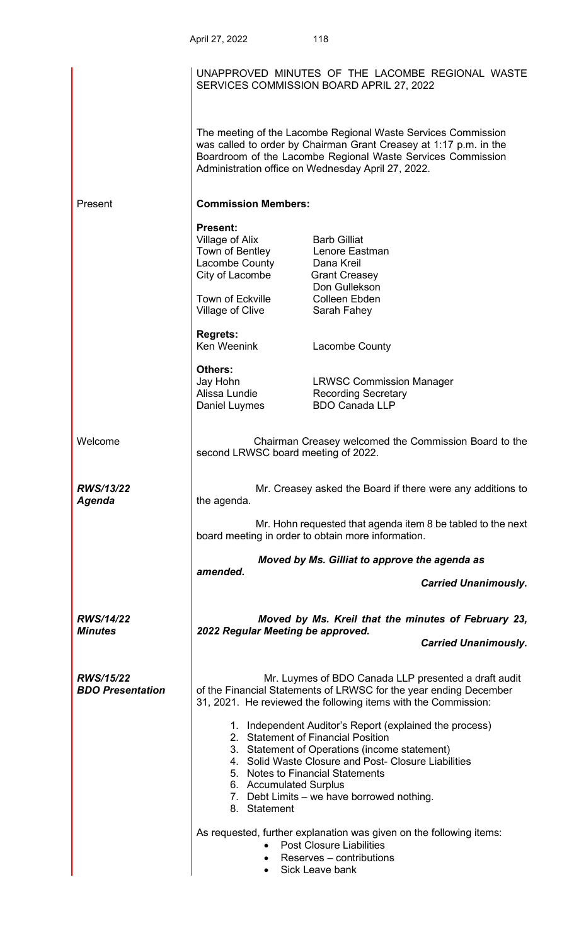|                                             | April 27, 2022                                                                                                                                    | 118                                                                                                                                                                                                                                                                                      |
|---------------------------------------------|---------------------------------------------------------------------------------------------------------------------------------------------------|------------------------------------------------------------------------------------------------------------------------------------------------------------------------------------------------------------------------------------------------------------------------------------------|
|                                             |                                                                                                                                                   | UNAPPROVED MINUTES OF THE LACOMBE REGIONAL WASTE<br>SERVICES COMMISSION BOARD APRIL 27, 2022                                                                                                                                                                                             |
|                                             |                                                                                                                                                   | The meeting of the Lacombe Regional Waste Services Commission<br>was called to order by Chairman Grant Creasey at 1:17 p.m. in the<br>Boardroom of the Lacombe Regional Waste Services Commission<br>Administration office on Wednesday April 27, 2022.                                  |
| Present                                     | <b>Commission Members:</b>                                                                                                                        |                                                                                                                                                                                                                                                                                          |
|                                             | <b>Present:</b><br>Village of Alix<br>Town of Bentley Lenore Eastman<br>Lacombe County<br>City of Lacombe<br>Town of Eckville<br>Village of Clive | <b>Barb Gilliat</b><br>Dana Kreil<br><b>Grant Creasey</b><br>Don Gullekson<br><b>Colleen Ebden</b><br>Sarah Fahey                                                                                                                                                                        |
|                                             | <b>Regrets:</b><br>Ken Weenink                                                                                                                    | Lacombe County                                                                                                                                                                                                                                                                           |
|                                             | Others:<br>Jay Hohn<br>Alissa Lundie<br>Daniel Luymes                                                                                             | <b>LRWSC Commission Manager</b><br><b>Recording Secretary</b><br><b>BDO Canada LLP</b>                                                                                                                                                                                                   |
| Welcome                                     | second LRWSC board meeting of 2022.                                                                                                               | Chairman Creasey welcomed the Commission Board to the                                                                                                                                                                                                                                    |
| <b>RWS/13/22</b><br>Agenda                  | the agenda.                                                                                                                                       | Mr. Creasey asked the Board if there were any additions to                                                                                                                                                                                                                               |
|                                             |                                                                                                                                                   | Mr. Hohn requested that agenda item 8 be tabled to the next<br>board meeting in order to obtain more information.                                                                                                                                                                        |
|                                             | Moved by Ms. Gilliat to approve the agenda as<br>amended.                                                                                         |                                                                                                                                                                                                                                                                                          |
|                                             |                                                                                                                                                   | <b>Carried Unanimously.</b>                                                                                                                                                                                                                                                              |
| <b>RWS/14/22</b><br><b>Minutes</b>          | 2022 Regular Meeting be approved.                                                                                                                 | Moved by Ms. Kreil that the minutes of February 23,                                                                                                                                                                                                                                      |
|                                             |                                                                                                                                                   | <b>Carried Unanimously.</b>                                                                                                                                                                                                                                                              |
| <b>RWS/15/22</b><br><b>BDO Presentation</b> |                                                                                                                                                   | Mr. Luymes of BDO Canada LLP presented a draft audit<br>of the Financial Statements of LRWSC for the year ending December<br>31, 2021. He reviewed the following items with the Commission:                                                                                              |
|                                             | 6. Accumulated Surplus<br>8. Statement                                                                                                            | 1. Independent Auditor's Report (explained the process)<br>2. Statement of Financial Position<br>3. Statement of Operations (income statement)<br>4. Solid Waste Closure and Post- Closure Liabilities<br>5. Notes to Financial Statements<br>7. Debt Limits - we have borrowed nothing. |
|                                             | $\bullet$                                                                                                                                         | As requested, further explanation was given on the following items:<br><b>Post Closure Liabilities</b><br>Reserves – contributions<br>Sick Leave bank                                                                                                                                    |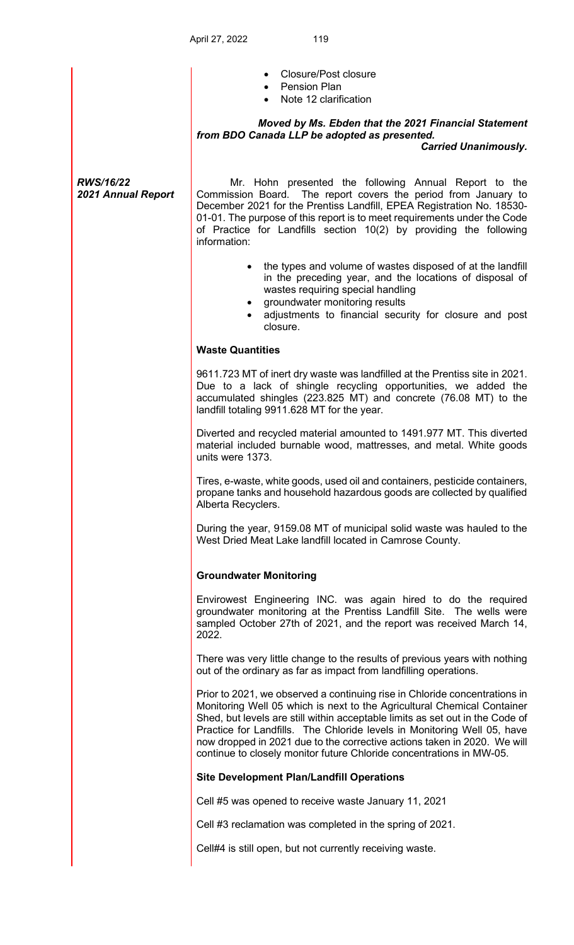|                                        | <b>Closure/Post closure</b><br>• Pension Plan<br>Note 12 clarification                                                                                                                                                                                                                                                                                                                                                                                                |
|----------------------------------------|-----------------------------------------------------------------------------------------------------------------------------------------------------------------------------------------------------------------------------------------------------------------------------------------------------------------------------------------------------------------------------------------------------------------------------------------------------------------------|
|                                        | Moved by Ms. Ebden that the 2021 Financial Statement<br>from BDO Canada LLP be adopted as presented.                                                                                                                                                                                                                                                                                                                                                                  |
|                                        | <b>Carried Unanimously.</b>                                                                                                                                                                                                                                                                                                                                                                                                                                           |
| <b>RWS/16/22</b><br>2021 Annual Report | Mr. Hohn presented the following Annual Report to the<br>Commission Board. The report covers the period from January to<br>December 2021 for the Prentiss Landfill, EPEA Registration No. 18530-<br>01-01. The purpose of this report is to meet requirements under the Code<br>of Practice for Landfills section 10(2) by providing the following<br>information:                                                                                                    |
|                                        | the types and volume of wastes disposed of at the landfill<br>$\bullet$<br>in the preceding year, and the locations of disposal of<br>wastes requiring special handling<br>groundwater monitoring results<br>adjustments to financial security for closure and post<br>$\bullet$<br>closure.                                                                                                                                                                          |
|                                        | <b>Waste Quantities</b>                                                                                                                                                                                                                                                                                                                                                                                                                                               |
|                                        | 9611.723 MT of inert dry waste was landfilled at the Prentiss site in 2021.<br>Due to a lack of shingle recycling opportunities, we added the<br>accumulated shingles (223.825 MT) and concrete (76.08 MT) to the<br>landfill totaling 9911.628 MT for the year.                                                                                                                                                                                                      |
|                                        | Diverted and recycled material amounted to 1491.977 MT. This diverted<br>material included burnable wood, mattresses, and metal. White goods<br>units were 1373.                                                                                                                                                                                                                                                                                                      |
|                                        | Tires, e-waste, white goods, used oil and containers, pesticide containers,<br>propane tanks and household hazardous goods are collected by qualified<br>Alberta Recyclers.                                                                                                                                                                                                                                                                                           |
|                                        | During the year, 9159.08 MT of municipal solid waste was hauled to the<br>West Dried Meat Lake landfill located in Camrose County.                                                                                                                                                                                                                                                                                                                                    |
|                                        | <b>Groundwater Monitoring</b>                                                                                                                                                                                                                                                                                                                                                                                                                                         |
|                                        | Envirowest Engineering INC. was again hired to do the required<br>groundwater monitoring at the Prentiss Landfill Site. The wells were<br>sampled October 27th of 2021, and the report was received March 14,<br>2022.                                                                                                                                                                                                                                                |
|                                        | There was very little change to the results of previous years with nothing<br>out of the ordinary as far as impact from landfilling operations.                                                                                                                                                                                                                                                                                                                       |
|                                        | Prior to 2021, we observed a continuing rise in Chloride concentrations in<br>Monitoring Well 05 which is next to the Agricultural Chemical Container<br>Shed, but levels are still within acceptable limits as set out in the Code of<br>Practice for Landfills. The Chloride levels in Monitoring Well 05, have<br>now dropped in 2021 due to the corrective actions taken in 2020. We will<br>continue to closely monitor future Chloride concentrations in MW-05. |
|                                        | <b>Site Development Plan/Landfill Operations</b>                                                                                                                                                                                                                                                                                                                                                                                                                      |
|                                        | Cell #5 was opened to receive waste January 11, 2021                                                                                                                                                                                                                                                                                                                                                                                                                  |
|                                        | Cell #3 reclamation was completed in the spring of 2021.                                                                                                                                                                                                                                                                                                                                                                                                              |
|                                        | Cell#4 is still open, but not currently receiving waste.                                                                                                                                                                                                                                                                                                                                                                                                              |
|                                        |                                                                                                                                                                                                                                                                                                                                                                                                                                                                       |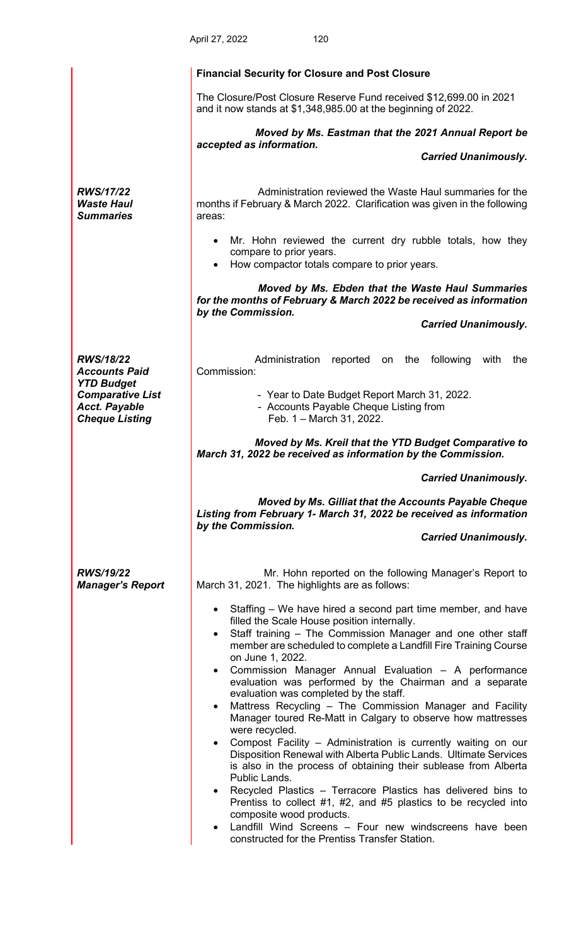|                                                                          | 120<br>April 27, 2022                                                                                                                                                                                                                                                                                                                                                                                                                                                                                                                                                                                                                                                                                                                                                                                                                                                                                                                                                                                                                                                                                            |
|--------------------------------------------------------------------------|------------------------------------------------------------------------------------------------------------------------------------------------------------------------------------------------------------------------------------------------------------------------------------------------------------------------------------------------------------------------------------------------------------------------------------------------------------------------------------------------------------------------------------------------------------------------------------------------------------------------------------------------------------------------------------------------------------------------------------------------------------------------------------------------------------------------------------------------------------------------------------------------------------------------------------------------------------------------------------------------------------------------------------------------------------------------------------------------------------------|
|                                                                          | <b>Financial Security for Closure and Post Closure</b>                                                                                                                                                                                                                                                                                                                                                                                                                                                                                                                                                                                                                                                                                                                                                                                                                                                                                                                                                                                                                                                           |
|                                                                          | The Closure/Post Closure Reserve Fund received \$12,699.00 in 2021<br>and it now stands at \$1,348,985.00 at the beginning of 2022.                                                                                                                                                                                                                                                                                                                                                                                                                                                                                                                                                                                                                                                                                                                                                                                                                                                                                                                                                                              |
|                                                                          | Moved by Ms. Eastman that the 2021 Annual Report be<br>accepted as information.                                                                                                                                                                                                                                                                                                                                                                                                                                                                                                                                                                                                                                                                                                                                                                                                                                                                                                                                                                                                                                  |
|                                                                          | <b>Carried Unanimously.</b>                                                                                                                                                                                                                                                                                                                                                                                                                                                                                                                                                                                                                                                                                                                                                                                                                                                                                                                                                                                                                                                                                      |
| <b>RWS/17/22</b><br><b>Waste Haul</b><br><b>Summaries</b>                | Administration reviewed the Waste Haul summaries for the<br>months if February & March 2022. Clarification was given in the following<br>areas:                                                                                                                                                                                                                                                                                                                                                                                                                                                                                                                                                                                                                                                                                                                                                                                                                                                                                                                                                                  |
|                                                                          | Mr. Hohn reviewed the current dry rubble totals, how they<br>compare to prior years.<br>How compactor totals compare to prior years.                                                                                                                                                                                                                                                                                                                                                                                                                                                                                                                                                                                                                                                                                                                                                                                                                                                                                                                                                                             |
|                                                                          | Moved by Ms. Ebden that the Waste Haul Summaries<br>for the months of February & March 2022 be received as information<br>by the Commission.                                                                                                                                                                                                                                                                                                                                                                                                                                                                                                                                                                                                                                                                                                                                                                                                                                                                                                                                                                     |
|                                                                          | <b>Carried Unanimously.</b>                                                                                                                                                                                                                                                                                                                                                                                                                                                                                                                                                                                                                                                                                                                                                                                                                                                                                                                                                                                                                                                                                      |
| <b>RWS/18/22</b><br><b>Accounts Paid</b><br><b>YTD Budget</b>            | Administration<br>reported on the following<br>with<br>the<br>Commission:                                                                                                                                                                                                                                                                                                                                                                                                                                                                                                                                                                                                                                                                                                                                                                                                                                                                                                                                                                                                                                        |
| <b>Comparative List</b><br><b>Acct. Payable</b><br><b>Cheque Listing</b> | - Year to Date Budget Report March 31, 2022.<br>- Accounts Payable Cheque Listing from<br>Feb. 1 - March 31, 2022.                                                                                                                                                                                                                                                                                                                                                                                                                                                                                                                                                                                                                                                                                                                                                                                                                                                                                                                                                                                               |
|                                                                          | Moved by Ms. Kreil that the YTD Budget Comparative to<br>March 31, 2022 be received as information by the Commission.                                                                                                                                                                                                                                                                                                                                                                                                                                                                                                                                                                                                                                                                                                                                                                                                                                                                                                                                                                                            |
|                                                                          | <b>Carried Unanimously.</b>                                                                                                                                                                                                                                                                                                                                                                                                                                                                                                                                                                                                                                                                                                                                                                                                                                                                                                                                                                                                                                                                                      |
|                                                                          | Moved by Ms. Gilliat that the Accounts Payable Cheque<br>Listing from February 1- March 31, 2022 be received as information                                                                                                                                                                                                                                                                                                                                                                                                                                                                                                                                                                                                                                                                                                                                                                                                                                                                                                                                                                                      |
|                                                                          | by the Commission.<br><b>Carried Unanimously.</b>                                                                                                                                                                                                                                                                                                                                                                                                                                                                                                                                                                                                                                                                                                                                                                                                                                                                                                                                                                                                                                                                |
| <b>RWS/19/22</b><br><b>Manager's Report</b>                              | Mr. Hohn reported on the following Manager's Report to<br>March 31, 2021. The highlights are as follows:                                                                                                                                                                                                                                                                                                                                                                                                                                                                                                                                                                                                                                                                                                                                                                                                                                                                                                                                                                                                         |
|                                                                          | • Staffing – We have hired a second part time member, and have<br>filled the Scale House position internally.<br>Staff training - The Commission Manager and one other staff<br>$\bullet$<br>member are scheduled to complete a Landfill Fire Training Course<br>on June 1, 2022.<br>• Commission Manager Annual Evaluation - A performance<br>evaluation was performed by the Chairman and a separate<br>evaluation was completed by the staff.<br>Mattress Recycling - The Commission Manager and Facility<br>Manager toured Re-Matt in Calgary to observe how mattresses<br>were recycled.<br>Compost Facility - Administration is currently waiting on our<br>$\bullet$<br>Disposition Renewal with Alberta Public Lands. Ultimate Services<br>is also in the process of obtaining their sublease from Alberta<br>Public Lands.<br>• Recycled Plastics – Terracore Plastics has delivered bins to<br>Prentiss to collect #1, #2, and #5 plastics to be recycled into<br>composite wood products.<br>Landfill Wind Screens - Four new windscreens have been<br>constructed for the Prentiss Transfer Station. |